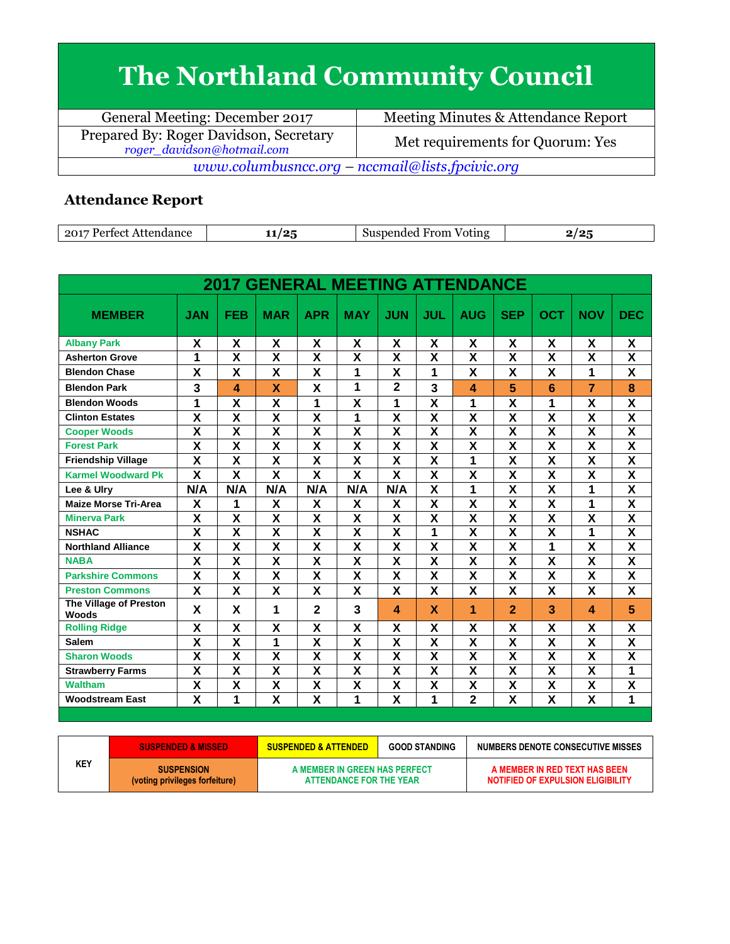## **The Northland Community Council**

| General Meeting: December 2017                                       | Meeting Minutes & Attendance Report |  |  |  |  |
|----------------------------------------------------------------------|-------------------------------------|--|--|--|--|
| Prepared By: Roger Davidson, Secretary<br>roger_davidson@hotmail.com | Met requirements for Quorum: Yes    |  |  |  |  |
| www.columbusncc.org – nccmail@lists.fpcivic.org                      |                                     |  |  |  |  |

## **Attendance Report**

| $-2017$<br>Attendance<br>Perfect | $\sqrt{2}$<br>. .<br>-- | $ -$<br>Suspended<br>From<br>Voting | .<br>. . |
|----------------------------------|-------------------------|-------------------------------------|----------|

| <b>2017 GENERAL MEETING ATTENDANCE</b> |                         |                           |                         |                         |                           |                         |                         |                         |                         |                         |                         |                         |
|----------------------------------------|-------------------------|---------------------------|-------------------------|-------------------------|---------------------------|-------------------------|-------------------------|-------------------------|-------------------------|-------------------------|-------------------------|-------------------------|
| <b>MEMBER</b>                          | <b>JAN</b>              | <b>FEB</b>                | <b>MAR</b>              | <b>APR</b>              | <b>MAY</b>                | <b>JUN</b>              | <b>JUL</b>              | <b>AUG</b>              | <b>SEP</b>              | <b>OCT</b>              | <b>NOV</b>              | <b>DEC</b>              |
| <b>Albany Park</b>                     | X                       | X                         | X                       | X                       | X                         | X                       | X                       | X                       | X                       | Χ                       | X                       | X                       |
| <b>Asherton Grove</b>                  | 1                       | X                         | $\overline{\mathbf{x}}$ | X                       | $\overline{\mathbf{x}}$   | X                       | X                       | X                       | $\overline{\mathbf{x}}$ | X                       | $\overline{\mathbf{x}}$ | $\overline{\mathsf{x}}$ |
| <b>Blendon Chase</b>                   | X                       | X                         | X                       | X                       | 1                         | X                       | 1                       | X                       | $\mathbf x$             | X                       | 1                       | X                       |
| <b>Blendon Park</b>                    | 3                       | 4                         | X                       | X                       | 1                         | $\overline{2}$          | $\overline{\mathbf{3}}$ | 4                       | 5                       | 6                       | $\overline{7}$          | 8                       |
| <b>Blendon Woods</b>                   | 1                       | $\overline{\mathsf{x}}$   | $\overline{\mathsf{x}}$ | 1                       | $\overline{\mathsf{x}}$   | 1                       | $\overline{\textbf{x}}$ | 1                       | $\overline{\mathsf{x}}$ | 1                       | $\overline{\mathsf{x}}$ | $\overline{\mathsf{x}}$ |
| <b>Clinton Estates</b>                 | $\overline{\textbf{x}}$ | $\overline{\mathbf{x}}$   | $\overline{\mathbf{x}}$ | $\overline{\textsf{x}}$ | 1                         | $\overline{\textsf{x}}$ | $\overline{\textbf{x}}$ | $\overline{\mathbf{x}}$ | $\overline{\mathbf{x}}$ | $\overline{\textbf{x}}$ | $\overline{\mathbf{x}}$ | $\overline{\textsf{x}}$ |
| <b>Cooper Woods</b>                    | X                       | X                         | X                       | X                       | $\overline{\mathsf{x}}$   | $\overline{\mathsf{x}}$ | X                       | X                       | X                       | X                       | X                       | X                       |
| <b>Forest Park</b>                     | $\overline{\mathsf{x}}$ | $\overline{\mathbf{X}}$   | $\overline{\mathsf{x}}$ | $\overline{\mathbf{x}}$ | $\overline{\mathsf{x}}$   | $\overline{\mathsf{x}}$ | $\overline{\mathbf{x}}$ | $\overline{\mathsf{x}}$ | $\overline{\mathsf{x}}$ | $\overline{\mathsf{x}}$ | $\overline{\mathsf{x}}$ | $\overline{\mathsf{x}}$ |
| <b>Friendship Village</b>              | X                       | X                         | X                       | X                       | X                         | X                       | X                       | 1                       | $\overline{\mathsf{x}}$ | X                       | $\overline{\mathsf{x}}$ | $\overline{\mathsf{x}}$ |
| <b>Karmel Woodward Pk</b>              | $\overline{\mathsf{x}}$ | $\overline{\mathsf{x}}$   | $\overline{\mathsf{x}}$ | $\overline{\mathsf{x}}$ | $\overline{\mathsf{x}}$   | $\overline{\mathsf{x}}$ | $\overline{\mathsf{x}}$ | $\overline{\mathsf{x}}$ | $\overline{\mathsf{x}}$ | $\overline{\mathsf{x}}$ | $\overline{\mathsf{x}}$ | $\overline{\mathsf{x}}$ |
| Lee & Ulry                             | N/A                     | N/A                       | N/A                     | N/A                     | N/A                       | N/A                     | $\overline{\mathsf{x}}$ | 1                       | $\overline{\mathbf{x}}$ | $\overline{\mathbf{x}}$ | 1                       | $\overline{\mathsf{x}}$ |
| <b>Maize Morse Tri-Area</b>            | X                       | 1                         | X                       | X                       | X                         | X                       | X                       | X                       | X                       | X                       | 1                       | X                       |
| <b>Minerva Park</b>                    | $\overline{\mathsf{x}}$ | X                         | $\overline{\mathsf{x}}$ | X                       | $\overline{\mathsf{x}}$   | X                       | $\overline{\mathsf{x}}$ | X                       | $\overline{\mathbf{x}}$ | X                       | X                       | $\overline{\mathsf{x}}$ |
| <b>NSHAC</b>                           | $\overline{\mathsf{x}}$ | $\overline{\mathbf{X}}$   | $\overline{\mathsf{x}}$ | $\overline{\mathbf{x}}$ | $\overline{\mathbf{x}}$   | $\overline{\mathsf{x}}$ | 1                       | $\overline{\mathsf{x}}$ | $\overline{\mathsf{x}}$ | $\overline{\mathsf{x}}$ | 1                       | $\overline{\mathsf{x}}$ |
| <b>Northland Alliance</b>              | $\overline{\mathsf{x}}$ | $\overline{\mathbf{X}}$   | $\overline{\mathsf{x}}$ | $\overline{\mathbf{x}}$ | $\overline{\mathsf{x}}$   | $\overline{\mathsf{x}}$ | $\overline{\mathbf{x}}$ | $\overline{\mathsf{x}}$ | $\overline{\mathsf{x}}$ | 1                       | $\overline{\mathsf{x}}$ | $\overline{\mathsf{x}}$ |
| <b>NABA</b>                            | $\overline{\mathsf{x}}$ | $\overline{\mathsf{x}}$   | $\overline{\mathsf{x}}$ | $\overline{\mathbf{x}}$ | $\overline{\mathsf{x}}$   | $\overline{\mathsf{x}}$ | $\overline{\textsf{x}}$ | $\overline{\mathsf{x}}$ | $\overline{\mathsf{x}}$ | $\overline{\mathsf{x}}$ | $\overline{\textsf{x}}$ | $\overline{\textsf{x}}$ |
| <b>Parkshire Commons</b>               | X                       | $\boldsymbol{\mathsf{X}}$ | X                       | X                       | X                         | X                       | X                       | X                       | X                       | X                       | X                       | X                       |
| <b>Preston Commons</b>                 | X                       | X                         | X                       | X                       | X                         | X                       | X                       | X                       | X                       | X                       | X                       | X                       |
| The Village of Preston<br>Woods        | X                       | X                         | 1                       | $\overline{2}$          | 3                         | 4                       | X                       | 1                       | $\overline{2}$          | 3                       | $\boldsymbol{\Lambda}$  | 5                       |
| <b>Rolling Ridge</b>                   | χ                       | X                         | X                       | X                       | $\boldsymbol{\mathsf{X}}$ | χ                       | X                       | X                       | X                       | χ                       | X                       | χ                       |
| <b>Salem</b>                           | X                       | X                         | 1                       | X                       | X                         | X                       | X                       | X                       | X                       | X                       | X                       | X                       |
| <b>Sharon Woods</b>                    | $\overline{\textsf{x}}$ | $\overline{\mathsf{x}}$   | $\overline{\mathsf{x}}$ | $\overline{\textsf{x}}$ | $\overline{\textsf{x}}$   | $\overline{\mathsf{x}}$ | $\overline{\mathsf{x}}$ | $\overline{\mathsf{x}}$ | $\overline{\mathsf{x}}$ | $\overline{\mathsf{x}}$ | $\overline{\mathsf{x}}$ | $\overline{\mathsf{x}}$ |
| <b>Strawberry Farms</b>                | $\overline{\mathsf{x}}$ | X                         | X                       | X                       | $\overline{\mathsf{x}}$   | $\overline{\mathsf{x}}$ | X                       | X                       | $\overline{\mathsf{x}}$ | X                       | $\overline{\mathsf{x}}$ | 1                       |
| <b>Waltham</b>                         | X                       | X                         | X                       | X                       | $\overline{\mathbf{x}}$   | X                       | X                       | X                       | X                       | X                       | $\overline{\mathsf{x}}$ | X                       |
| <b>Woodstream East</b>                 | $\overline{\textsf{x}}$ | 1                         | $\overline{\mathsf{x}}$ | $\overline{\textsf{x}}$ | 1                         | $\overline{\mathsf{x}}$ | 1                       | $\overline{2}$          | $\overline{\mathsf{x}}$ | X                       | $\overline{\mathsf{x}}$ | 1                       |

| KEY | <b>SUSPENDED &amp; MISSED</b>                       | <b>SUSPENDED &amp; ATTENDED</b>                          | <b>GOOD STANDING</b> | NUMBERS DENOTE CONSECUTIVE MISSES                                  |
|-----|-----------------------------------------------------|----------------------------------------------------------|----------------------|--------------------------------------------------------------------|
|     | <b>SUSPENSION</b><br>(voting privileges forfeiture) | A MEMBER IN GREEN HAS PERFECT<br>ATTENDANCE FOR THE YEAR |                      | A MEMBER IN RED TEXT HAS BEEN<br>NOTIFIED OF EXPULSION ELIGIBILITY |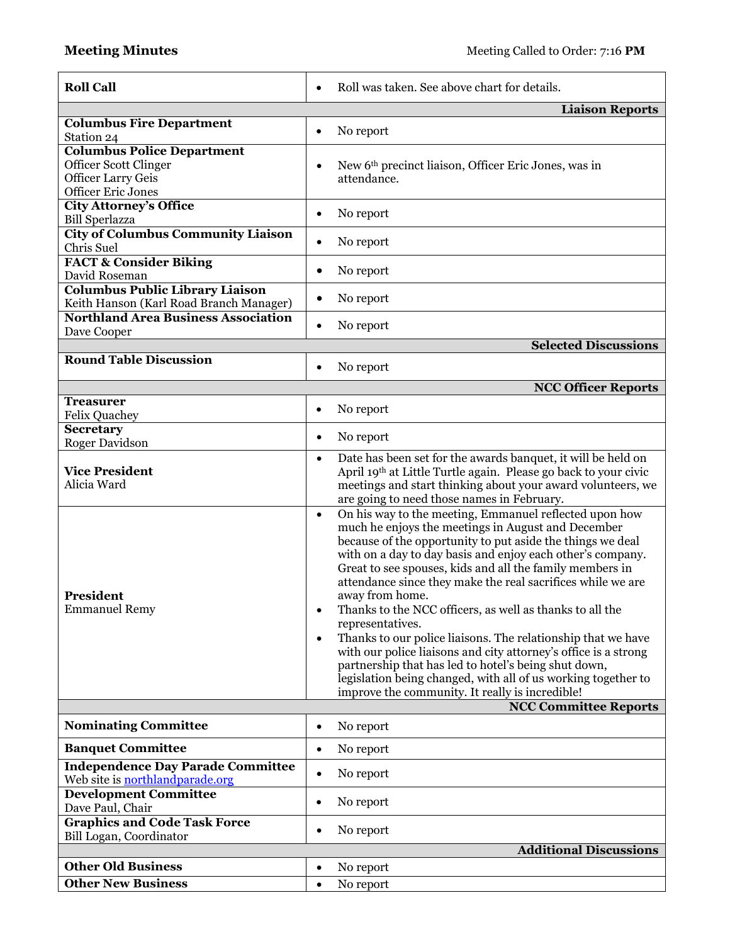| <b>Roll Call</b>                                                                  | Roll was taken. See above chart for details.                                                                                                                                                                                                                                                                                                                                                                                                                                                                                                                                                                                                                                                                                                                                                                         |  |  |  |
|-----------------------------------------------------------------------------------|----------------------------------------------------------------------------------------------------------------------------------------------------------------------------------------------------------------------------------------------------------------------------------------------------------------------------------------------------------------------------------------------------------------------------------------------------------------------------------------------------------------------------------------------------------------------------------------------------------------------------------------------------------------------------------------------------------------------------------------------------------------------------------------------------------------------|--|--|--|
|                                                                                   | <b>Liaison Reports</b>                                                                                                                                                                                                                                                                                                                                                                                                                                                                                                                                                                                                                                                                                                                                                                                               |  |  |  |
| <b>Columbus Fire Department</b>                                                   | No report<br>$\bullet$                                                                                                                                                                                                                                                                                                                                                                                                                                                                                                                                                                                                                                                                                                                                                                                               |  |  |  |
| Station 24                                                                        |                                                                                                                                                                                                                                                                                                                                                                                                                                                                                                                                                                                                                                                                                                                                                                                                                      |  |  |  |
| <b>Columbus Police Department</b><br>Officer Scott Clinger                        |                                                                                                                                                                                                                                                                                                                                                                                                                                                                                                                                                                                                                                                                                                                                                                                                                      |  |  |  |
| <b>Officer Larry Geis</b>                                                         | New 6th precinct liaison, Officer Eric Jones, was in<br>attendance.                                                                                                                                                                                                                                                                                                                                                                                                                                                                                                                                                                                                                                                                                                                                                  |  |  |  |
| Officer Eric Jones                                                                |                                                                                                                                                                                                                                                                                                                                                                                                                                                                                                                                                                                                                                                                                                                                                                                                                      |  |  |  |
| <b>City Attorney's Office</b>                                                     |                                                                                                                                                                                                                                                                                                                                                                                                                                                                                                                                                                                                                                                                                                                                                                                                                      |  |  |  |
| <b>Bill Sperlazza</b>                                                             | No report<br>$\bullet$                                                                                                                                                                                                                                                                                                                                                                                                                                                                                                                                                                                                                                                                                                                                                                                               |  |  |  |
| <b>City of Columbus Community Liaison</b>                                         | No report<br>$\bullet$                                                                                                                                                                                                                                                                                                                                                                                                                                                                                                                                                                                                                                                                                                                                                                                               |  |  |  |
| Chris Suel                                                                        |                                                                                                                                                                                                                                                                                                                                                                                                                                                                                                                                                                                                                                                                                                                                                                                                                      |  |  |  |
| <b>FACT &amp; Consider Biking</b>                                                 | No report<br>٠                                                                                                                                                                                                                                                                                                                                                                                                                                                                                                                                                                                                                                                                                                                                                                                                       |  |  |  |
| David Roseman                                                                     |                                                                                                                                                                                                                                                                                                                                                                                                                                                                                                                                                                                                                                                                                                                                                                                                                      |  |  |  |
| <b>Columbus Public Library Liaison</b><br>Keith Hanson (Karl Road Branch Manager) | No report<br>$\bullet$                                                                                                                                                                                                                                                                                                                                                                                                                                                                                                                                                                                                                                                                                                                                                                                               |  |  |  |
| <b>Northland Area Business Association</b>                                        |                                                                                                                                                                                                                                                                                                                                                                                                                                                                                                                                                                                                                                                                                                                                                                                                                      |  |  |  |
| Dave Cooper                                                                       | No report<br>$\bullet$                                                                                                                                                                                                                                                                                                                                                                                                                                                                                                                                                                                                                                                                                                                                                                                               |  |  |  |
|                                                                                   | <b>Selected Discussions</b>                                                                                                                                                                                                                                                                                                                                                                                                                                                                                                                                                                                                                                                                                                                                                                                          |  |  |  |
| <b>Round Table Discussion</b>                                                     | No report<br>$\bullet$                                                                                                                                                                                                                                                                                                                                                                                                                                                                                                                                                                                                                                                                                                                                                                                               |  |  |  |
|                                                                                   |                                                                                                                                                                                                                                                                                                                                                                                                                                                                                                                                                                                                                                                                                                                                                                                                                      |  |  |  |
| <b>Treasurer</b>                                                                  | <b>NCC Officer Reports</b>                                                                                                                                                                                                                                                                                                                                                                                                                                                                                                                                                                                                                                                                                                                                                                                           |  |  |  |
| <b>Felix Quachey</b>                                                              | No report<br>٠                                                                                                                                                                                                                                                                                                                                                                                                                                                                                                                                                                                                                                                                                                                                                                                                       |  |  |  |
| <b>Secretary</b>                                                                  |                                                                                                                                                                                                                                                                                                                                                                                                                                                                                                                                                                                                                                                                                                                                                                                                                      |  |  |  |
| Roger Davidson                                                                    | No report<br>$\bullet$                                                                                                                                                                                                                                                                                                                                                                                                                                                                                                                                                                                                                                                                                                                                                                                               |  |  |  |
| <b>Vice President</b><br>Alicia Ward                                              | Date has been set for the awards banquet, it will be held on<br>$\bullet$<br>April 19th at Little Turtle again. Please go back to your civic<br>meetings and start thinking about your award volunteers, we<br>are going to need those names in February.                                                                                                                                                                                                                                                                                                                                                                                                                                                                                                                                                            |  |  |  |
| <b>President</b><br><b>Emmanuel Remy</b>                                          | On his way to the meeting, Emmanuel reflected upon how<br>$\bullet$<br>much he enjoys the meetings in August and December<br>because of the opportunity to put aside the things we deal<br>with on a day to day basis and enjoy each other's company.<br>Great to see spouses, kids and all the family members in<br>attendance since they make the real sacrifices while we are<br>away from home.<br>Thanks to the NCC officers, as well as thanks to all the<br>٠<br>representatives.<br>Thanks to our police liaisons. The relationship that we have<br>$\bullet$<br>with our police liaisons and city attorney's office is a strong<br>partnership that has led to hotel's being shut down,<br>legislation being changed, with all of us working together to<br>improve the community. It really is incredible! |  |  |  |
|                                                                                   | <b>NCC Committee Reports</b>                                                                                                                                                                                                                                                                                                                                                                                                                                                                                                                                                                                                                                                                                                                                                                                         |  |  |  |
| <b>Nominating Committee</b>                                                       | No report<br>$\bullet$                                                                                                                                                                                                                                                                                                                                                                                                                                                                                                                                                                                                                                                                                                                                                                                               |  |  |  |
| <b>Banquet Committee</b>                                                          | No report<br>$\bullet$                                                                                                                                                                                                                                                                                                                                                                                                                                                                                                                                                                                                                                                                                                                                                                                               |  |  |  |
| <b>Independence Day Parade Committee</b><br>Web site is northlandparade.org       | No report<br>$\bullet$                                                                                                                                                                                                                                                                                                                                                                                                                                                                                                                                                                                                                                                                                                                                                                                               |  |  |  |
| <b>Development Committee</b><br>Dave Paul, Chair                                  | No report<br>$\bullet$                                                                                                                                                                                                                                                                                                                                                                                                                                                                                                                                                                                                                                                                                                                                                                                               |  |  |  |
| <b>Graphics and Code Task Force</b><br>Bill Logan, Coordinator                    | No report<br>$\bullet$                                                                                                                                                                                                                                                                                                                                                                                                                                                                                                                                                                                                                                                                                                                                                                                               |  |  |  |
|                                                                                   | <b>Additional Discussions</b>                                                                                                                                                                                                                                                                                                                                                                                                                                                                                                                                                                                                                                                                                                                                                                                        |  |  |  |
| <b>Other Old Business</b>                                                         | No report<br>$\bullet$                                                                                                                                                                                                                                                                                                                                                                                                                                                                                                                                                                                                                                                                                                                                                                                               |  |  |  |
| <b>Other New Business</b>                                                         | No report<br>$\bullet$                                                                                                                                                                                                                                                                                                                                                                                                                                                                                                                                                                                                                                                                                                                                                                                               |  |  |  |